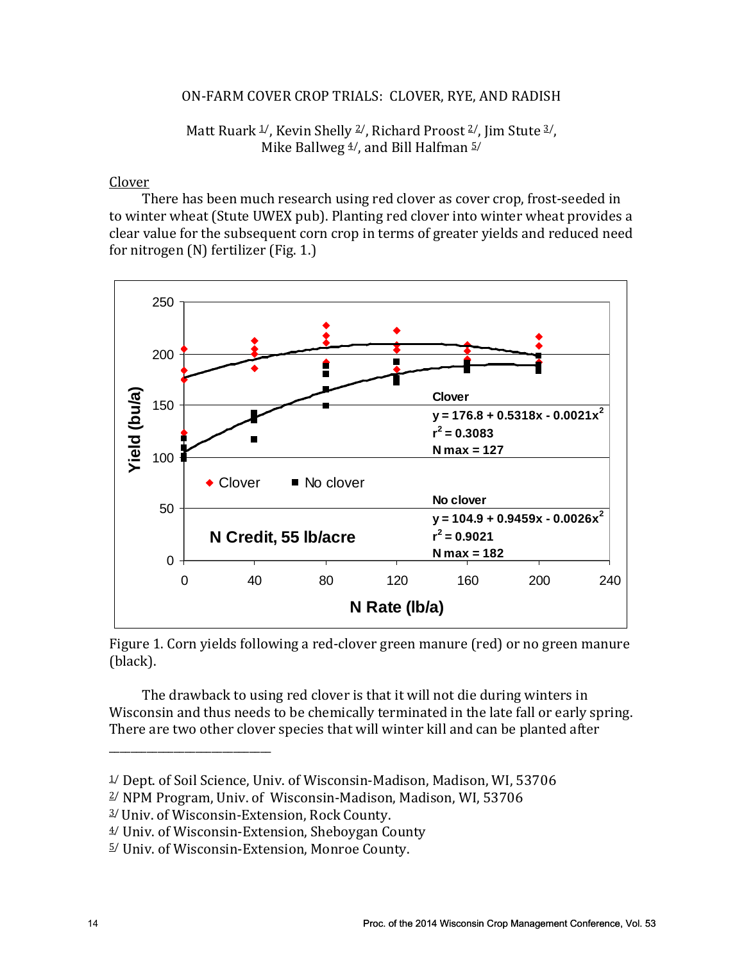#### ON-FARM COVER CROP TRIALS: CLOVER, RYE, AND RADISH

### Matt Ruark  $\frac{1}{2}$ , Kevin Shelly  $\frac{2}{7}$ , Richard Proost  $\frac{2}{7}$ , Jim Stute  $\frac{3}{7}$ , Mike Ballweg  $4/$ , and Bill Halfman  $5/$

#### Clover

There has been much research using red clover as cover crop, frost-seeded in to winter wheat (Stute UWEX pub). Planting red clover into winter wheat provides a clear value for the subsequent corn crop in terms of greater yields and reduced need for nitrogen (N) fertilizer (Fig. 1.)



Figure 1. Corn yields following a red-clover green manure (red) or no green manure (black).

The drawback to using red clover is that it will not die during winters in Wisconsin and thus needs to be chemically terminated in the late fall or early spring. There are two other clover species that will winter kill and can be planted after

\_\_\_\_\_\_\_\_\_\_\_\_\_\_\_\_\_\_\_\_\_\_\_\_\_\_\_\_\_\_

<sup>&</sup>lt;sup>1</sup>/ Dept. of Soil Science, Univ. of Wisconsin-Madison, Madison, WI, 53706

<sup>2/</sup> NPM Program, Univ. of Wisconsin-Madison, Madison, WI, 53706

<sup>3/</sup> Univ. of Wisconsin-Extension, Rock County.

<sup>4/</sup> Univ. of Wisconsin-Extension, Sheboygan County

<sup>5/</sup> Univ. of Wisconsin-Extension, Monroe County.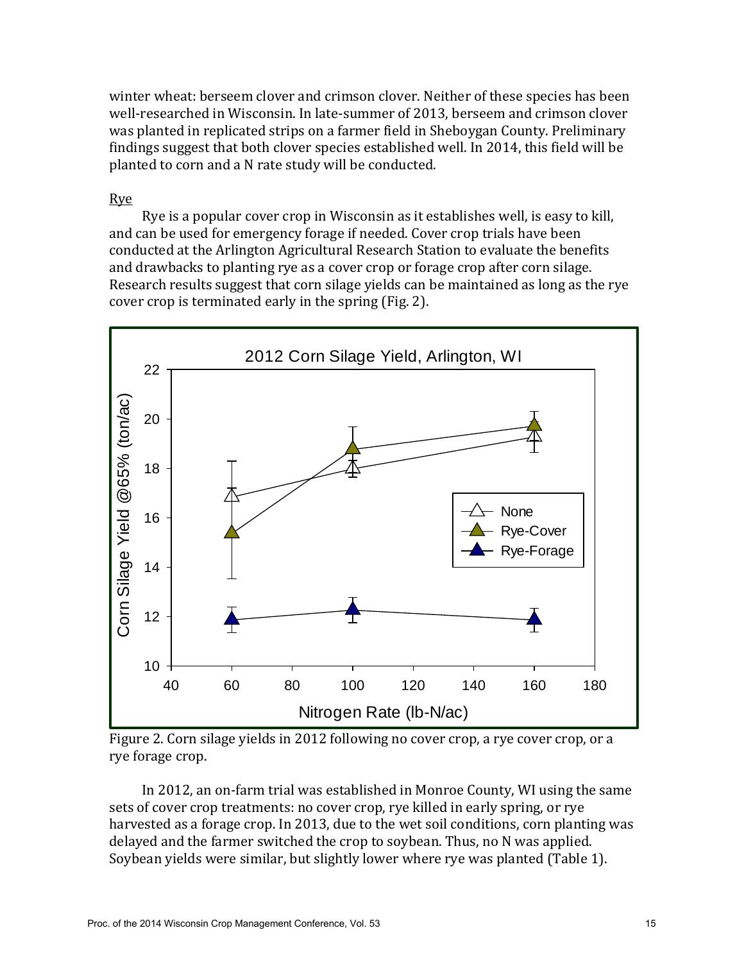winter wheat: berseem clover and crimson clover. Neither of these species has been well-researched in Wisconsin. In late-summer of 2013, berseem and crimson clover was planted in replicated strips on a farmer field in Sheboygan County. Preliminary findings suggest that both clover species established well. In 2014, this field will be planted to corn and a N rate study will be conducted.

#### Rye

Rye is a popular cover crop in Wisconsin as it establishes well, is easy to kill, and can be used for emergency forage if needed. Cover crop trials have been conducted at the Arlington Agricultural Research Station to evaluate the benefits and drawbacks to planting rye as a cover crop or forage crop after corn silage. Research results suggest that corn silage yields can be maintained as long as the rye cover crop is terminated early in the spring (Fig. 2).



Figure 2. Corn silage yields in 2012 following no cover crop, a rye cover crop, or a rye forage crop.

In 2012, an on-farm trial was established in Monroe County, WI using the same sets of cover crop treatments: no cover crop, rye killed in early spring, or rye harvested as a forage crop. In 2013, due to the wet soil conditions, corn planting was delayed and the farmer switched the crop to soybean. Thus, no N was applied. Soybean yields were similar, but slightly lower where rye was planted (Table 1).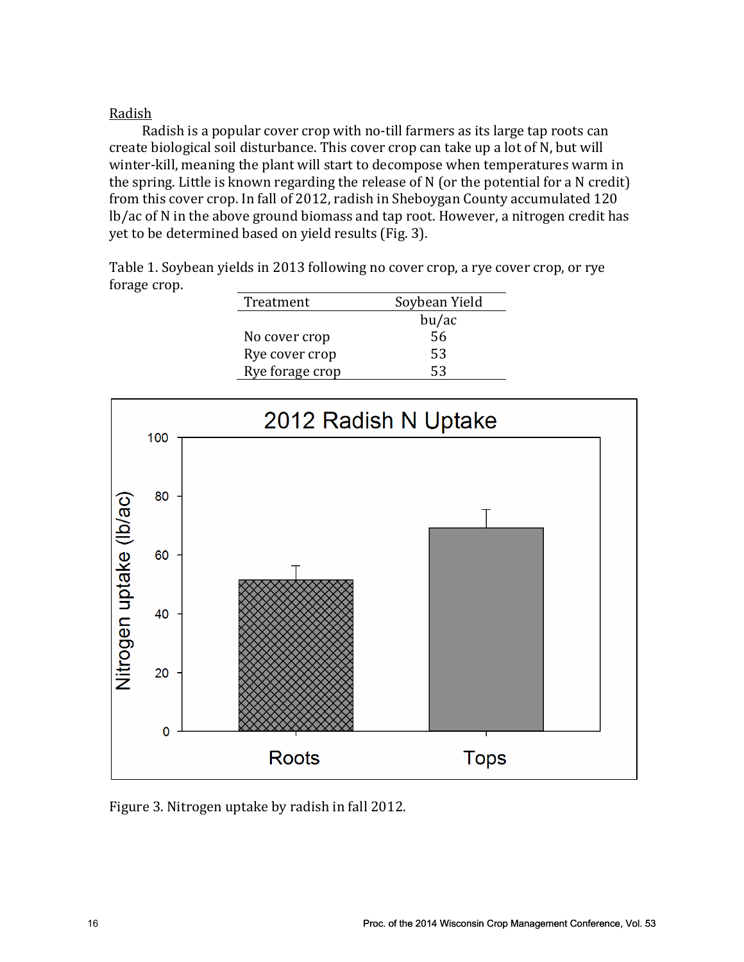## Radish

Radish is a popular cover crop with no-till farmers as its large tap roots can create biological soil disturbance. This cover crop can take up a lot of N, but will winter-kill, meaning the plant will start to decompose when temperatures warm in the spring. Little is known regarding the release of N (or the potential for a N credit) from this cover crop. In fall of 2012, radish in Sheboygan County accumulated 120 lb/ac of N in the above ground biomass and tap root. However, a nitrogen credit has yet to be determined based on yield results (Fig. 3).

Table 1. Soybean yields in 2013 following no cover crop, a rye cover crop, or rye forage crop.

| Treatment       | Soybean Yield |
|-----------------|---------------|
|                 | bu/ac         |
| No cover crop   | 56            |
| Rye cover crop  | 53            |
| Rye forage crop | 53            |
|                 |               |



Figure 3. Nitrogen uptake by radish in fall 2012.